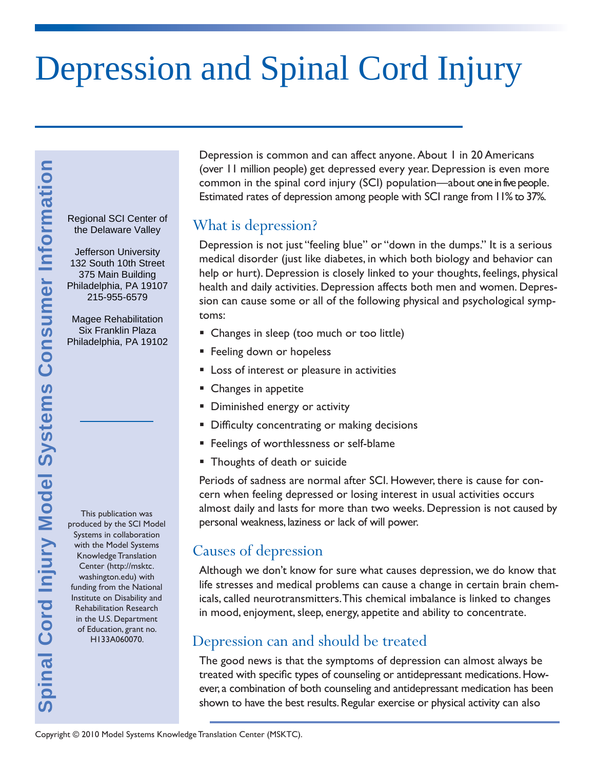# Depression and Spinal Cord Injury

the Delaware Valley

Jefferson University 132 South 10th Street 375 Main Building Philadelphia, PA 19107 215-955-6579

Magee Rehabilitation Six Franklin Plaza Philadelphia, PA 19102

produced by the SCI Model Systems in collaboration with the Model Systems Knowledge Translation Center (http://msktc. washington.edu) with funding from the National Institute on Disability and Rehabilitation Research in the U.S. Department of Education, grant no. H133A060070. **Spinal SCI Center of**<br>the Delaware Valley<br>the Delaware Valley<br>132 South 10th Street<br>Philadelphia, PA 19107<br>215-955-6579<br>Magee Rehabilitation<br>Six Franklin Plaza<br>Philadelphia, PA 19102<br>100<br>Magee Rehabilitation<br>Six Franklin

This publication was

Depression is common and can affect anyone. About 1 in 20 Americans (over 11 million people) get depressed every year. Depression is even more common in the spinal cord injury (SCI) population—about one in five people. Estimated rates of depression among people with SCI range from 11% to 37%.

#### What is depression?

Depression is not just "feeling blue" or "down in the dumps." It is a serious medical disorder (just like diabetes, in which both biology and behavior can help or hurt). Depression is closely linked to your thoughts, feelings, physical health and daily activities. Depression affects both men and women. Depression can cause some or all of the following physical and psychological symptoms:

- Changes in sleep (too much or too little)
- **Feeling down or hopeless**
- **Loss of interest or pleasure in activities**
- Changes in appetite
- **Diminished energy or activity**
- **Difficulty concentrating or making decisions**
- Feelings of worthlessness or self-blame
- **Thoughts of death or suicide**

Periods of sadness are normal after SCI. However, there is cause for concern when feeling depressed or losing interest in usual activities occurs almost daily and lasts for more than two weeks. Depression is not caused by personal weakness, laziness or lack of will power.

#### Causes of depression

Although we don't know for sure what causes depression, we do know that life stresses and medical problems can cause a change in certain brain chemicals, called neurotransmitters. This chemical imbalance is linked to changes in mood, enjoyment, sleep, energy, appetite and ability to concentrate.

## Depression can and should be treated

The good news is that the symptoms of depression can almost always be treated with specific types of counseling or antidepressant medications. However, a combination of both counseling and antidepressant medication has been shown to have the best results. Regular exercise or physical activity can also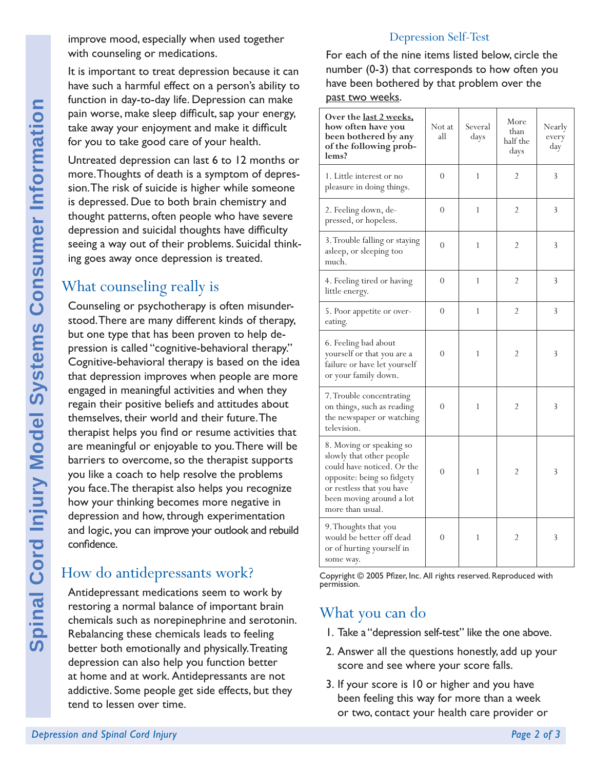improve mood, especially when used together with counseling or medications.

It is important to treat depression because it can have such a harmful effect on a person's ability to function in day-to-day life. Depression can make pain worse, make sleep difficult, sap your energy, take away your enjoyment and make it difficult for you to take good care of your health.

Untreated depression can last 6 to 12 months or more. Thoughts of death is a symptom of depression. The risk of suicide is higher while someone is depressed. Due to both brain chemistry and thought patterns, often people who have severe depression and suicidal thoughts have difficulty seeing a way out of their problems. Suicidal thinking goes away once depression is treated.

# What counseling really is

**Depression and Spinal Cord Internation** In day-to-day in the sake sleep for you to take good case of more. Thoughts of deat sion. The risk of suicide is depression and suicide the depression and suicidal seeing a way out Counseling or psychotherapy is often misunderstood. There are many different kinds of therapy, but one type that has been proven to help depression is called "cognitive-behavioral therapy." Cognitive-behavioral therapy is based on the idea that depression improves when people are more engaged in meaningful activities and when they regain their positive beliefs and attitudes about themselves, their world and their future. The therapist helps you find or resume activities that are meaningful or enjoyable to you. There will be barriers to overcome, so the therapist supports you like a coach to help resolve the problems you face. The therapist also helps you recognize how your thinking becomes more negative in depression and how, through experimentation and logic, you can improve your outlook and rebuild confidence.

# How do antidepressants work?

Antidepressant medications seem to work by restoring a normal balance of important brain chemicals such as norepinephrine and serotonin. Rebalancing these chemicals leads to feeling better both emotionally and physically. Treating depression can also help you function better at home and at work. Antidepressants are not addictive. Some people get side effects, but they tend to lessen over time.

#### Depression Self-Test

For each of the nine items listed below, circle the number (0-3) that corresponds to how often you have been bothered by that problem over the past two weeks.

| Over the last 2 weeks,<br>how often have you<br>been bothered by any<br>of the following prob-<br>lems?                                                                                       | Not at<br>all  | Several<br>days | More<br>than<br>half the<br>days | Nearly<br>every<br>day |
|-----------------------------------------------------------------------------------------------------------------------------------------------------------------------------------------------|----------------|-----------------|----------------------------------|------------------------|
| 1. Little interest or no<br>pleasure in doing things.                                                                                                                                         | $\overline{0}$ | $\mathbf{1}$    | $\overline{2}$                   | 3                      |
| 2. Feeling down, de-<br>pressed, or hopeless.                                                                                                                                                 | $\Omega$       | 1               | 2                                | 3                      |
| 3. Trouble falling or staying<br>asleep, or sleeping too<br>much.                                                                                                                             | $\overline{0}$ | $\mathbf{1}$    | $\overline{2}$                   | 3                      |
| 4. Feeling tired or having<br>little energy.                                                                                                                                                  | $\theta$       | 1               | $\overline{2}$                   | 3                      |
| 5. Poor appetite or over-<br>eating.                                                                                                                                                          | 0              | 1               | 2                                | 3                      |
| 6. Feeling bad about<br>yourself or that you are a<br>failure or have let yourself<br>or your family down.                                                                                    | $\theta$       | 1               | $\overline{2}$                   | 3                      |
| 7. Trouble concentrating<br>on things, such as reading<br>the newspaper or watching<br>television.                                                                                            | $\theta$       | $\mathbf{1}$    | $\overline{2}$                   | 3                      |
| 8. Moving or speaking so<br>slowly that other people<br>could have noticed. Or the<br>opposite: being so fidgety<br>or restless that you have<br>been moving around a lot<br>more than usual. | $\theta$       | 1               | $\overline{2}$                   | 3                      |
| 9. Thoughts that you<br>would be better off dead<br>or of hurting yourself in<br>some way.                                                                                                    | $\theta$       | $\mathbf{1}$    | $\overline{2}$                   | 3                      |

Copyright © 2005 Pfizer, Inc. All rights reserved. Reproduced with permission.

## What you can do

- 1. Take a "depression self-test" like the one above.
- 2. Answer all the questions honestly, add up your score and see where your score falls.
- 3. If your score is 10 or higher and you have been feeling this way for more than a week or two, contact your health care provider or